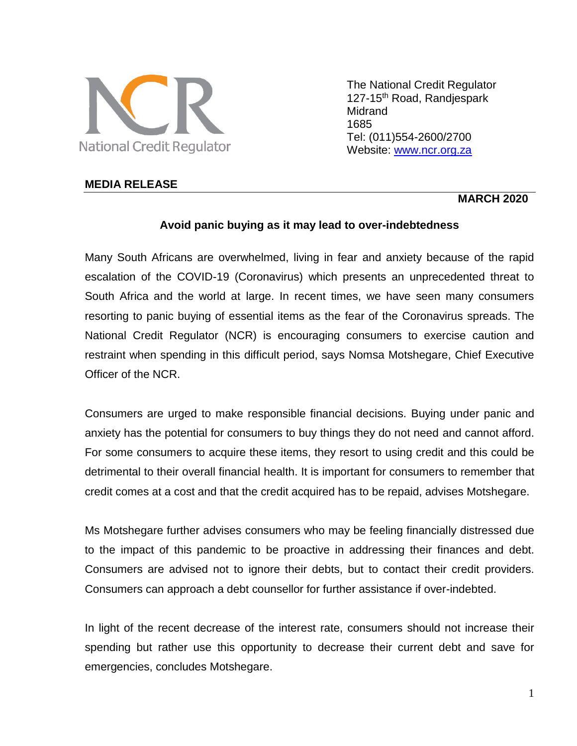

The National Credit Regulator 127-15th Road, Randjespark **Midrand** 1685 Tel: (011)554-2600/2700 Website: [www.ncr.org.za](http://www.ncr.org.za/)

#### **MEDIA RELEASE**

# **MARCH 2020**

## **Avoid panic buying as it may lead to over-indebtedness**

Many South Africans are overwhelmed, living in fear and anxiety because of the rapid escalation of the COVID-19 (Coronavirus) which presents an unprecedented threat to South Africa and the world at large. In recent times, we have seen many consumers resorting to panic buying of essential items as the fear of the Coronavirus spreads. The National Credit Regulator (NCR) is encouraging consumers to exercise caution and restraint when spending in this difficult period, says Nomsa Motshegare, Chief Executive Officer of the NCR.

Consumers are urged to make responsible financial decisions. Buying under panic and anxiety has the potential for consumers to buy things they do not need and cannot afford. For some consumers to acquire these items, they resort to using credit and this could be detrimental to their overall financial health. It is important for consumers to remember that credit comes at a cost and that the credit acquired has to be repaid, advises Motshegare.

Ms Motshegare further advises consumers who may be feeling financially distressed due to the impact of this pandemic to be proactive in addressing their finances and debt. Consumers are advised not to ignore their debts, but to contact their credit providers. Consumers can approach a debt counsellor for further assistance if over-indebted.

In light of the recent decrease of the interest rate, consumers should not increase their spending but rather use this opportunity to decrease their current debt and save for emergencies, concludes Motshegare.